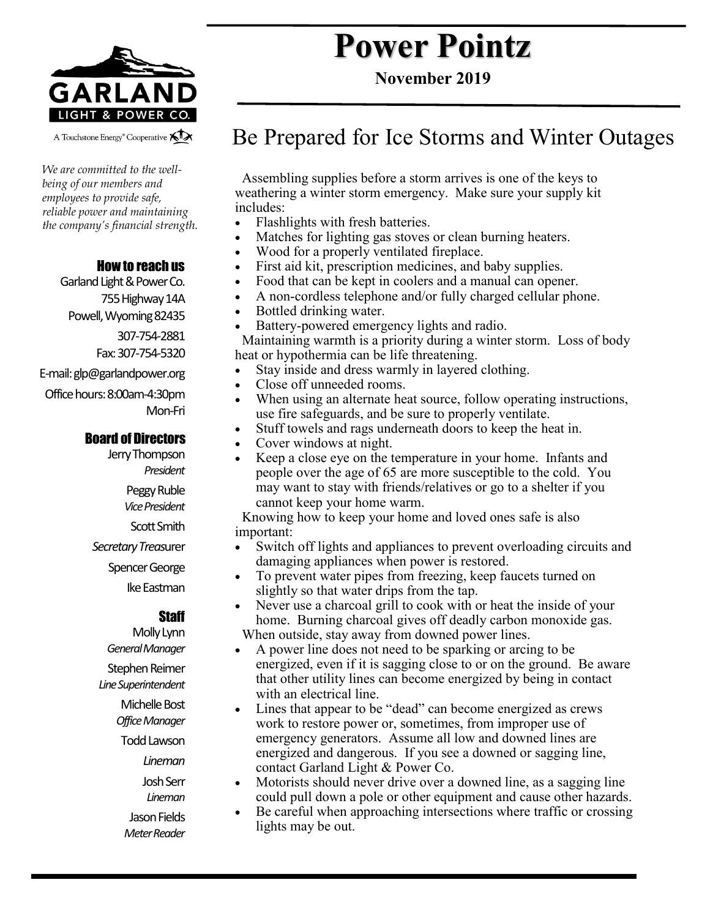

A Touchstone Energy<sup>®</sup> Cooperative A

*We are committed to the wellbeing of our members and employees to provide safe, reliable power and maintaining the company's financial strength.* 

#### How to reach us

Garland Light & Power Co. 755 Highway 14A Powell, Wyoming 82435 307-754-2881 Fax: 307-754-5320 E-mail: glp@garlandpower.org Office hours: 8:00am-4:30pm Mon-Fri

#### Board of Directors

Jerry Thompson *President* Peggy Ruble *Vice President* Scott Smith *Secretary Treas*urer Spencer George Ike Eastman

#### **Staff**

Molly Lynn *General Manager* Stephen Reimer *Line Superintendent* Michelle Bost *Office Manager* Todd Lawson *Lineman* Josh Serr *Lineman* Jason Fields *Meter Reader*

# **Power Pointz**

**November 2019**

## Be Prepared for Ice Storms and Winter Outages

 Assembling supplies before a storm arrives is one of the keys to weathering a winter storm emergency. Make sure your supply kit includes:

- Flashlights with fresh batteries.
- Matches for lighting gas stoves or clean burning heaters.
- Wood for a properly ventilated fireplace.
- First aid kit, prescription medicines, and baby supplies.
- Food that can be kept in coolers and a manual can opener.
- A non-cordless telephone and/or fully charged cellular phone.
- Bottled drinking water.
- Battery-powered emergency lights and radio.

 Maintaining warmth is a priority during a winter storm. Loss of body heat or hypothermia can be life threatening.

- Stay inside and dress warmly in layered clothing.
- Close off unneeded rooms.
- When using an alternate heat source, follow operating instructions, use fire safeguards, and be sure to properly ventilate.
- Stuff towels and rags underneath doors to keep the heat in.
- Cover windows at night.
- Keep a close eye on the temperature in your home. Infants and people over the age of 65 are more susceptible to the cold. You may want to stay with friends/relatives or go to a shelter if you cannot keep your home warm.

 Knowing how to keep your home and loved ones safe is also important:

- Switch off lights and appliances to prevent overloading circuits and damaging appliances when power is restored.
- To prevent water pipes from freezing, keep faucets turned on slightly so that water drips from the tap.
- Never use a charcoal grill to cook with or heat the inside of your home. Burning charcoal gives off deadly carbon monoxide gas. When outside, stay away from downed power lines.
- A power line does not need to be sparking or arcing to be energized, even if it is sagging close to or on the ground. Be aware that other utility lines can become energized by being in contact with an electrical line.
- Lines that appear to be "dead" can become energized as crews work to restore power or, sometimes, from improper use of emergency generators. Assume all low and downed lines are energized and dangerous. If you see a downed or sagging line, contact Garland Light & Power Co.
- Motorists should never drive over a downed line, as a sagging line could pull down a pole or other equipment and cause other hazards.
- Be careful when approaching intersections where traffic or crossing lights may be out.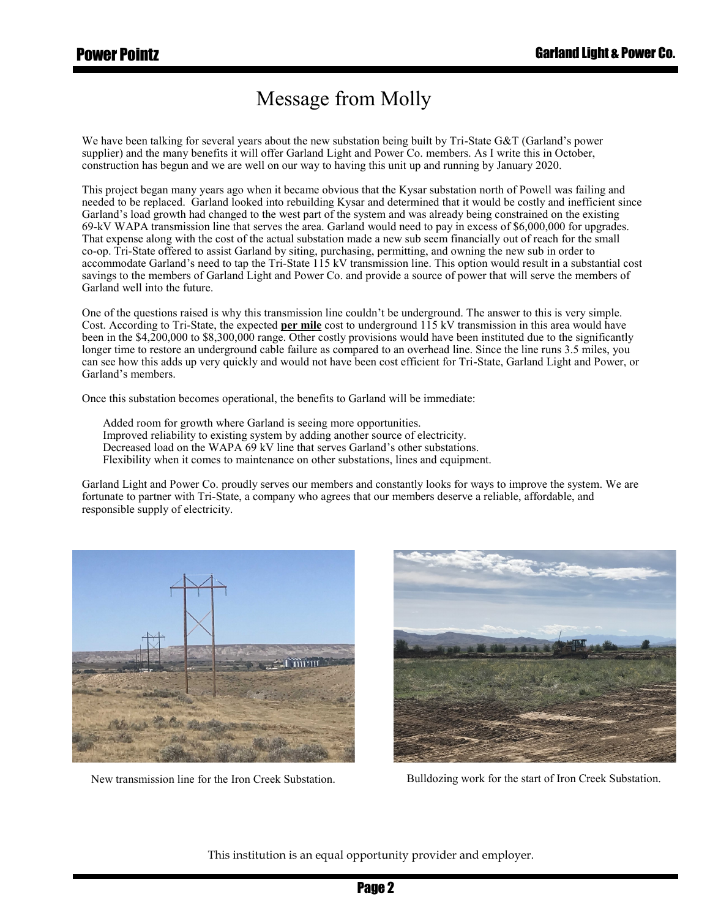## Message from Molly

We have been talking for several years about the new substation being built by Tri-State G&T (Garland's power supplier) and the many benefits it will offer Garland Light and Power Co. members. As I write this in October, construction has begun and we are well on our way to having this unit up and running by January 2020.

This project began many years ago when it became obvious that the Kysar substation north of Powell was failing and needed to be replaced. Garland looked into rebuilding Kysar and determined that it would be costly and inefficient since Garland's load growth had changed to the west part of the system and was already being constrained on the existing 69-kV WAPA transmission line that serves the area. Garland would need to pay in excess of \$6,000,000 for upgrades. That expense along with the cost of the actual substation made a new sub seem financially out of reach for the small co-op. Tri-State offered to assist Garland by siting, purchasing, permitting, and owning the new sub in order to accommodate Garland's need to tap the Tri-State 115 kV transmission line. This option would result in a substantial cost savings to the members of Garland Light and Power Co. and provide a source of power that will serve the members of Garland well into the future.

One of the questions raised is why this transmission line couldn't be underground. The answer to this is very simple. Cost. According to Tri-State, the expected **per mile** cost to underground 115 kV transmission in this area would have been in the \$4,200,000 to \$8,300,000 range. Other costly provisions would have been instituted due to the significantly longer time to restore an underground cable failure as compared to an overhead line. Since the line runs 3.5 miles, you can see how this adds up very quickly and would not have been cost efficient for Tri-State, Garland Light and Power, or Garland's members.

Once this substation becomes operational, the benefits to Garland will be immediate:

Added room for growth where Garland is seeing more opportunities. Improved reliability to existing system by adding another source of electricity. Decreased load on the WAPA 69 kV line that serves Garland's other substations. Flexibility when it comes to maintenance on other substations, lines and equipment.

Garland Light and Power Co. proudly serves our members and constantly looks for ways to improve the system. We are fortunate to partner with Tri-State, a company who agrees that our members deserve a reliable, affordable, and responsible supply of electricity.





New transmission line for the Iron Creek Substation. Bulldozing work for the start of Iron Creek Substation.

This institution is an equal opportunity provider and employer.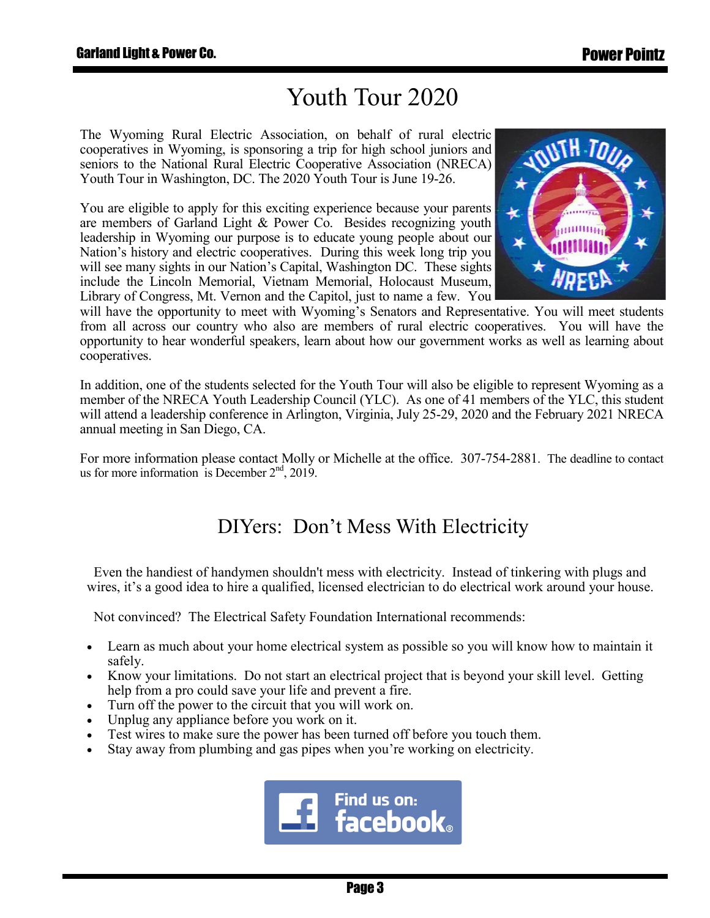## Youth Tour 2020

The Wyoming Rural Electric Association, on behalf of rural electric cooperatives in Wyoming, is sponsoring a trip for high school juniors and seniors to the National Rural Electric Cooperative Association (NRECA) Youth Tour in Washington, DC. The 2020 Youth Tour is June 19-26.

You are eligible to apply for this exciting experience because your parents are members of Garland Light & Power Co. Besides recognizing youth leadership in Wyoming our purpose is to educate young people about our Nation's history and electric cooperatives. During this week long trip you will see many sights in our Nation's Capital, Washington DC. These sights include the Lincoln Memorial, Vietnam Memorial, Holocaust Museum, Library of Congress, Mt. Vernon and the Capitol, just to name a few. You



will have the opportunity to meet with Wyoming's Senators and Representative. You will meet students from all across our country who also are members of rural electric cooperatives. You will have the opportunity to hear wonderful speakers, learn about how our government works as well as learning about cooperatives.

In addition, one of the students selected for the Youth Tour will also be eligible to represent Wyoming as a member of the NRECA Youth Leadership Council (YLC). As one of 41 members of the YLC, this student will attend a leadership conference in Arlington, Virginia, July 25-29, 2020 and the February 2021 NRECA annual meeting in San Diego, CA.

For more information please contact Molly or Michelle at the office. 307-754-2881. The deadline to contact us for more information is December  $2<sup>nd</sup>$ , 2019.

### DIYers: Don't Mess With Electricity

 Even the handiest of handymen shouldn't mess with electricity. Instead of tinkering with plugs and wires, it's a good idea to hire a qualified, licensed electrician to do electrical work around your house.

Not convinced? The Electrical Safety Foundation International recommends:

- Learn as much about your home electrical system as possible so you will know how to maintain it safely.
- Know your limitations. Do not start an electrical project that is beyond your skill level. Getting help from a pro could save your life and prevent a fire.
- Turn off the power to the circuit that you will work on.
- Unplug any appliance before you work on it.
- Test wires to make sure the power has been turned off before you touch them.
- Stay away from plumbing and gas pipes when you're working on electricity.